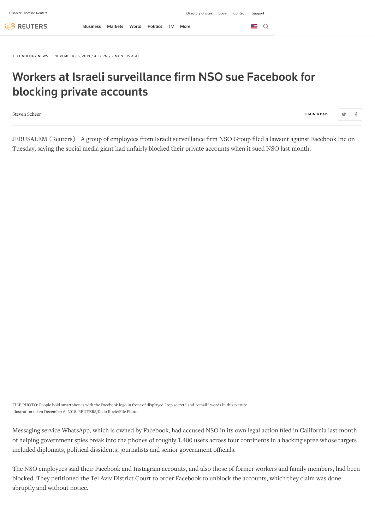**REUTERS** 

 $\blacksquare$   $\Omega$ 

[TECHNOLOGY](https://www.reuters.com/news/archive/technologyNews) NEWS NOVEMBER 26, 2019 / 4:37 PM / 7 MONTHS AGO

## Workers at Israeli surveillance firm NSO sue Facebook for blocking private accounts

[Steven Scheer](https://www.reuters.com/journalists/steven-scheer) <sup>3</sup> <sup>M</sup> <sup>I</sup> <sup>N</sup> READ

JERUSALEM (Reuters) - A group of employees from Israeli surveillance firm NSO Group filed a lawsuit against Facebook Inc on Tuesday, saying the social media giant had unfairly blocked their private accounts when it sued NSO last month.

FILE PHOTO: People hold smartphones with the Facebook logo in front of displayed "top secret" and "email" words in this picture illustration taken December 6, 2018. REUTERS/Dado Ruvic/File Photo

Messaging service WhatsApp, which is owned by Facebook, had accused NSO in its own legal action filed in California last month of helping government spies break into the phones of roughly 1,400 users across four continents in a hacking spree whose targets included diplomats, political dissidents, journalists and senior government officials.

The NSO employees said their Facebook and Instagram accounts, and also those of former workers and family members, had been blocked. They petitioned the Tel Aviv District Court to order Facebook to unblock the accounts, which they claim was done abruptly and without notice.